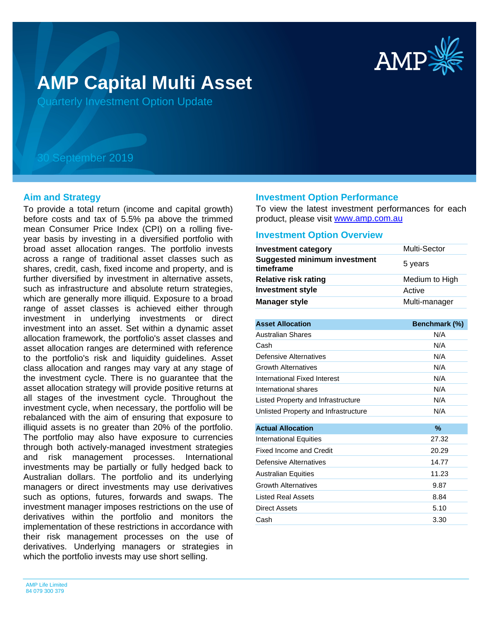

# **AMP Capital Multi Asset**

Quarterly Investment Option Update

## 30 September 2019

#### **Aim and Strategy**

To provide a total return (income and capital growth) before costs and tax of 5.5% pa above the trimmed mean Consumer Price Index (CPI) on a rolling fiveyear basis by investing in a diversified portfolio with broad asset allocation ranges. The portfolio invests across a range of traditional asset classes such as shares, credit, cash, fixed income and property, and is further diversified by investment in alternative assets, such as infrastructure and absolute return strategies, which are generally more illiquid. Exposure to a broad range of asset classes is achieved either through investment in underlying investments or direct investment into an asset. Set within a dynamic asset allocation framework, the portfolio's asset classes and asset allocation ranges are determined with reference to the portfolio's risk and liquidity guidelines. Asset class allocation and ranges may vary at any stage of the investment cycle. There is no guarantee that the asset allocation strategy will provide positive returns at all stages of the investment cycle. Throughout the investment cycle, when necessary, the portfolio will be rebalanced with the aim of ensuring that exposure to illiquid assets is no greater than 20% of the portfolio. The portfolio may also have exposure to currencies through both actively-managed investment strategies and risk management processes. International investments may be partially or fully hedged back to Australian dollars. The portfolio and its underlying managers or direct investments may use derivatives such as options, futures, forwards and swaps. The investment manager imposes restrictions on the use of derivatives within the portfolio and monitors the implementation of these restrictions in accordance with their risk management processes on the use of derivatives. Underlying managers or strategies in which the portfolio invests may use short selling.

#### **Investment Option Performance**

product, please visit [www.amp.com.au](https://www.amp.com.au) To view the latest investment performances for each

#### **Investment Option Overview**

| <b>Investment category</b>                       | Multi-Sector   |
|--------------------------------------------------|----------------|
| <b>Suggested minimum investment</b><br>timeframe | 5 years        |
| <b>Relative risk rating</b>                      | Medium to High |
| <b>Investment style</b>                          | Active         |
| <b>Manager style</b>                             | Multi-manager  |

| <b>Asset Allocation</b>              | Benchmark (%) |
|--------------------------------------|---------------|
| Australian Shares                    | N/A           |
| Cash                                 | N/A           |
| Defensive Alternatives               | N/A           |
| <b>Growth Alternatives</b>           | N/A           |
| International Fixed Interest         | N/A           |
| International shares                 | N/A           |
| Listed Property and Infrastructure   | N/A           |
| Unlisted Property and Infrastructure | N/A           |
|                                      |               |
| <b>Actual Allocation</b>             | %             |
| <b>International Equities</b>        | 27.32         |
| Fixed Income and Credit              | 20.29         |
| Defensive Alternatives               | 14.77         |
| <b>Australian Equities</b>           | 11.23         |
| <b>Growth Alternatives</b>           | 9.87          |
| <b>Listed Real Assets</b>            | 8.84          |
| Direct Assets                        | 5.10          |
| Cash                                 | 3.30          |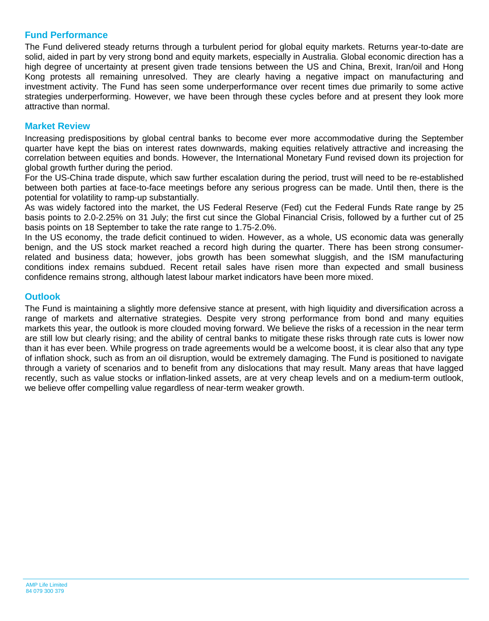## **Fund Performance**

The Fund delivered steady returns through a turbulent period for global equity markets. Returns year-to-date are solid, aided in part by very strong bond and equity markets, especially in Australia. Global economic direction has a high degree of uncertainty at present given trade tensions between the US and China, Brexit, Iran/oil and Hong Kong protests all remaining unresolved. They are clearly having a negative impact on manufacturing and investment activity. The Fund has seen some underperformance over recent times due primarily to some active strategies underperforming. However, we have been through these cycles before and at present they look more attractive than normal.

## **Market Review**

Increasing predispositions by global central banks to become ever more accommodative during the September quarter have kept the bias on interest rates downwards, making equities relatively attractive and increasing the correlation between equities and bonds. However, the International Monetary Fund revised down its projection for global growth further during the period.

For the US-China trade dispute, which saw further escalation during the period, trust will need to be re-established between both parties at face-to-face meetings before any serious progress can be made. Until then, there is the potential for volatility to ramp-up substantially.

As was widely factored into the market, the US Federal Reserve (Fed) cut the Federal Funds Rate range by 25 basis points to 2.0-2.25% on 31 July; the first cut since the Global Financial Crisis, followed by a further cut of 25 basis points on 18 September to take the rate range to 1.75-2.0%.

In the US economy, the trade deficit continued to widen. However, as a whole, US economic data was generally benign, and the US stock market reached a record high during the quarter. There has been strong consumerrelated and business data; however, jobs growth has been somewhat sluggish, and the ISM manufacturing conditions index remains subdued. Recent retail sales have risen more than expected and small business confidence remains strong, although latest labour market indicators have been more mixed.

### **Outlook**

The Fund is maintaining a slightly more defensive stance at present, with high liquidity and diversification across a range of markets and alternative strategies. Despite very strong performance from bond and many equities markets this year, the outlook is more clouded moving forward. We believe the risks of a recession in the near term are still low but clearly rising; and the ability of central banks to mitigate these risks through rate cuts is lower now than it has ever been. While progress on trade agreements would be a welcome boost, it is clear also that any type of inflation shock, such as from an oil disruption, would be extremely damaging. The Fund is positioned to navigate through a variety of scenarios and to benefit from any dislocations that may result. Many areas that have lagged recently, such as value stocks or inflation-linked assets, are at very cheap levels and on a medium-term outlook, we believe offer compelling value regardless of near-term weaker growth.